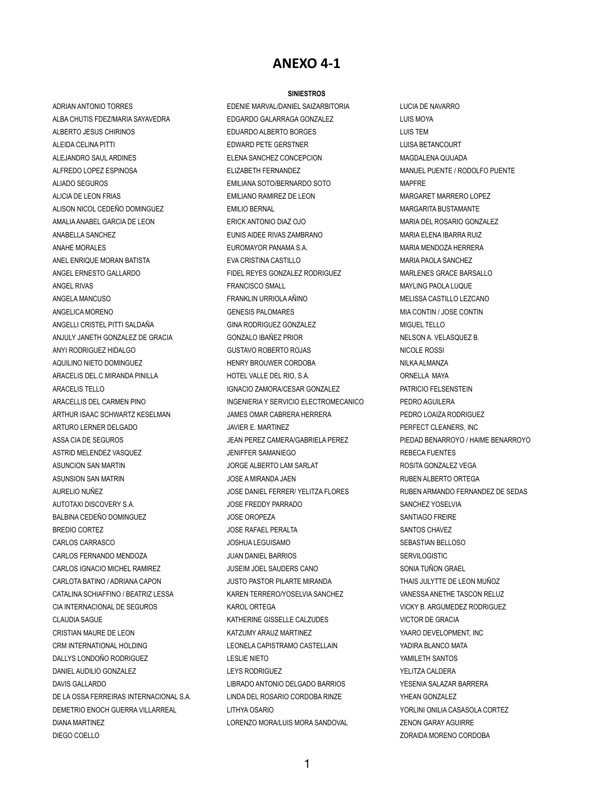## **ANEXO 4-1**

## **SINIESTROS**

DIANA MARTINEZ LORENZO MORA/LUIS MORA SANDOVAL ZENON GARAY AGUIRRE

ADRIAN ANTONIO TORRES EDENIE MARVAL/DANIEL SAIZARBITORIA LUCIA DE NAVARRO ALBA CHUTIS FDEZ/MARIA SAYAVEDRA EDGARDO GALARRAGA GONZALEZ ELUIS MOYA ALBERTO JESUS CHIRINOS EDUARDO ALBERTO BORGES LUIS TEM ALEIDA CELINA PITTI ELITTI ELITTE ELITTE GERSTNER EDWARD PETE GERSTNER ELITTE ELITTE ELITTE ELITTE ELITTE ELI ALEJANDRO SAUL ARDINES ELENA SANCHEZ CONCEPCION MAGDALENA QUIJADA ALFREDO LOPEZ ESPINOSA ELIZABETH FERNANDEZ ELIZABETH FERNANDEZ MANUEL PUENTE / RODOLFO PUENTE ALIADO SEGUROS EMILIANA SOTO/BERNARDO SOTO MAPFRE ALICIA DE LEON FRIAS EMILIANO RAMIREZ DE LEON MARGARET MARRERO LOPEZ ALISON NICOL CEDEÑO DOMINGUEZ FRANCIA EMILIO BERNAL EMILIO EN ENTRAÑO EM EMIGRARITA BUSTAMANTE AMALIA ANABEL GARCIA DE LEON ERICK ANTONIO DIAZ OJO MARIA DEL ROSARIO GONZALEZ ANABELLA SANCHEZ **EUNIS AIDEE RIVAS ZAMBRANO MARIA ELENA IBARRA RUIZ** ANAHE MORALES **EUROMAYOR PANAMA S.A.** MARIA MENDOZA HERRERA ANEL ENRIQUE MORAN BATISTA EVA CRISTINA CASTILLO MARIA PAOLA SANCHEZ ANGEL ERNESTO GALLARDO FIDEL REYES GONZALEZ RODRIGUEZ MARLENES GRACE BARSALLO ANGEL RIVAS FRANCISCO SMALL AND FRANCISCO SMALL THE RANGEL RIVAS MAYLING PAOLA LUQUE ANGELA MANCUSO FRANKLIN URRIOLA AÑINO MELISSA CASTILLO LEZCANO ANGELICA MORENO CONTINUES AND GENESIS PALOMARES CONTINUES AND MIA CONTINUES AND MIA CONTINUES. ANGELLI CRISTEL PITTI SALDAÑA GINA RODRIGUEZ GONZALEZ MIGUEL TELLO ANJULY JANETH GONZALEZ DE GRACIA GONZALO IBAÑEZ PRIOR NELSON A. VELASQUEZ B. ANYI RODRIGUEZ HIDALGO **ANYI RODRIGUEZ HIDALGO COSTAVO ROBERTO ROJAS** NICOLE ROSSI AQUILINO NIETO DOMINGUEZ TERRY BROUWER CORDOBA NILKA ALMANZA ARACELIS DEL.C.MIRANDA PINILLA 
ARACELIS DEL.C.MIRANDA PINILLA 

HOTEL VALLE DEL RIO, S.A. 

ORNELLA MAYA ARACELIS TELLO IGNACIO ZAMORA/CESAR GONZALEZ PATRICIO FELSENSTEIN ARACELLIS DEL CARMEN PINO INGENIERIA Y SERVICIO ELECTROMECANICO PEDRO AGUILERA ARTHUR ISAAC SCHWARTZ KESELMAN JAMES OMAR CABRERA HERRERA PEDRO LOAIZA RODRIGUEZ ARTURO LERNER DELGADO **JAVIER E. MARTINEZ** PERFECT CLEANERS, INC ASSA CIA DE SEGUROS **A CONSTANTINO DE SEGUROS DE SEGURO DE SEGURO DE SEGURO DE SEGURO DE SEGURO DE SEGURO DE SE** ASTRID MELENDEZ VASQUEZ 
and the state of the state of the same of the same of the same of the state of the state of the state of the state of the state of the state of the state of the state of the state of the state of t ASUNCION SAN MARTIN **AND THE SUNCE ALBERTO LAM SARLAT** AND ROSITA GONZALEZ VEGA ASUNSION SAN MATRIN GERAL DESCRIPTION ON THE SUBSEX ORDER AN ALBERTO OR TEGALEGY OR TEGALEGY OR TEGALEGY OR TEGA AURELIO NUÑEZ **Solution and AURELION CONTACT SOLUT** JOSE DANIEL FERRER/ YELITZA FLORES RUBEN ARMANDO FERNANDEZ DE SEDAS AUTOTAXI DISCOVERY S.A.  $\overline{O}$  on the same of the same of the state of the sanchez yoselvia BALBINA CEDEÑO DOMINGUEZ JOSE OROPEZA SANTIAGO FREIRE BREDIO CORTEZ **A CONTEX SANTOS CHAVEZ** JOSE RAFAEL PERALTA **SANTOS CHAVEZ** CARLOS CARRASCO JOSHUA LEGUISAMO SEBASTIAN BELLOSO CARLOS FERNANDO MENDOZA JUAN DANIEL BARRIOS SERVILOGISTIC CARLOS IGNACIO MICHEL RAMIREZ JUSEIM JOEL SAUDERS CANO SONIA TUÑON GRAEL CARLOTA BATINO / ADRIANA CAPON JUSTO PASTOR PILARTE MIRANDA THAIS JULYTTE DE LEON MUÑOZ CATALINA SCHIAFFINO / BEATRIZ LESSA KAREN TERRERO/YOSELVIA SANCHEZ VANESSA ANETHE TASCON RELUZ CIA INTERNACIONAL DE SEGUROS KAROL ORTEGA VICKY B. ARGUMEDEZ RODRIGUEZ CLAUDIA SAGUE KATHERINE GISSELLE CALZUDES VICTOR DE GRACIA CRISTIAN MAURE DE LEON **KATZUMY ARAUZ MARTINEZ WAARD ARELY ARAUZ MARTINEZ KATA ARAUZ MARTINEZ YAARO DEVELOPMENT, INC** CRM INTERNATIONAL HOLDING LEONELA CAPISTRAMO CASTELLAIN YADIRA BLANCO MATA DALLYS LONDOÑO RODRIGUEZ LESLIE NIETO YAMILETH SANTOS DANIEL AUDILIO GONZALEZ LEYS RODRIGUEZ YELITZA CALDERA DAVIS GALLARDO LIBRADO ANTONIO DELGADO BARRIOS YESENIA SALAZAR BARRERA DE LA OSSA FERREIRAS INTERNACIONAL S.A. LINDA DEL ROSARIO CORDOBA RINZE YHEAN GONZALEZ DEMETRIO ENOCH GUERRA VILLARREAL LITHYA OSARIO YORLINI ONILIA CASASOLA CORTEZ

DIEGO COELLO ZORAIDA MORENO CORDOBA